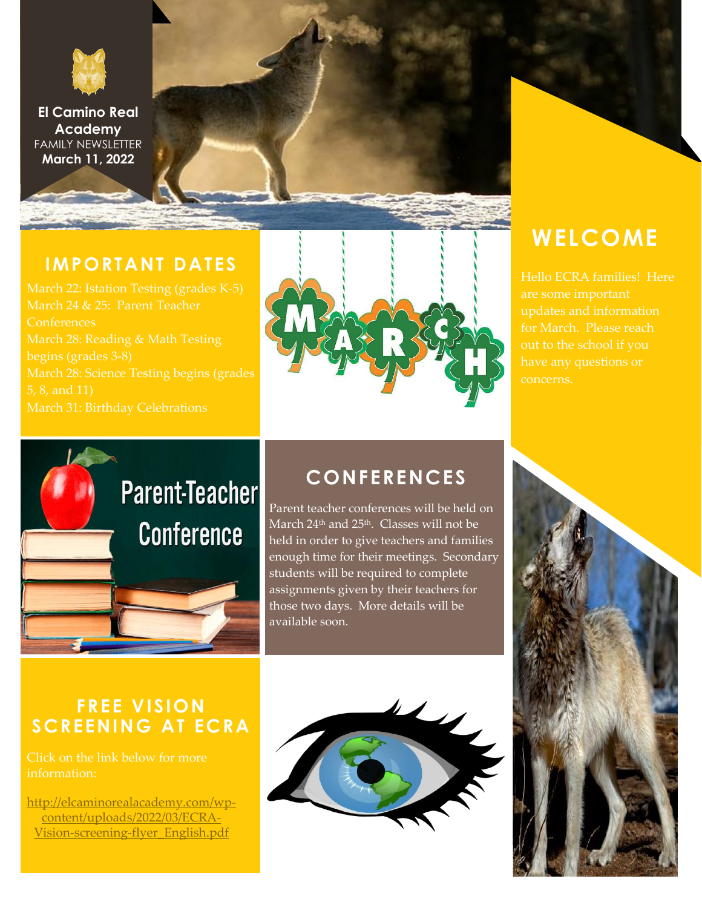

**El Camino Real Academy** FAMILY NEWSLETTER **March 11, 2022**

#### **IMPORTANT DATES**

March 24 & 25: Parent Teacher **Conferences** begins (grades 3-8) March 28: Science Testing begins (grades March 31: Birthday Celebrations



## **WELCOME**

Hello ECRA families! Here updates and information out to the school if you



### **CONFERENCES**

Parent teacher conferences will be held on March 24<sup>th</sup> and 25<sup>th</sup>. Classes will not be held in order to give teachers and families enough time for their meetings. Secondary students will be required to complete assignments given by their teachers for those two days. More details will be available soon.

### **FREE VISION SCREENING AT ECRA**

Click on the link below for more information:

[http://elcaminorealacademy.com/wp](http://elcaminorealacademy.com/wp-content/uploads/2022/03/ECRA-Vision-screening-flyer_English.pdf)[content/uploads/2022/03/ECRA-](http://elcaminorealacademy.com/wp-content/uploads/2022/03/ECRA-Vision-screening-flyer_English.pdf)[Vision-screening-flyer\\_English.pdf](http://elcaminorealacademy.com/wp-content/uploads/2022/03/ECRA-Vision-screening-flyer_English.pdf)



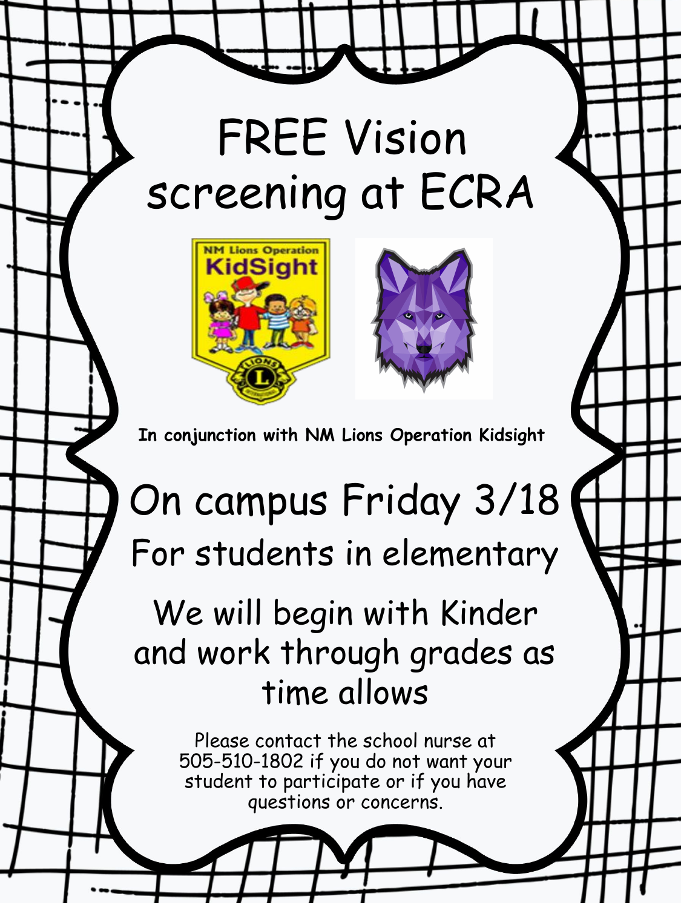# FREE Vision screening at ECRA





**In conjunction with NM Lions Operation Kidsight**

## On campus Friday 3/18 For students in elementary

## We will begin with Kinder and work through grades as time allows

Please contact the school nurse at 505-510-1802 if you do not want your student to participate or if you have questions or concerns.